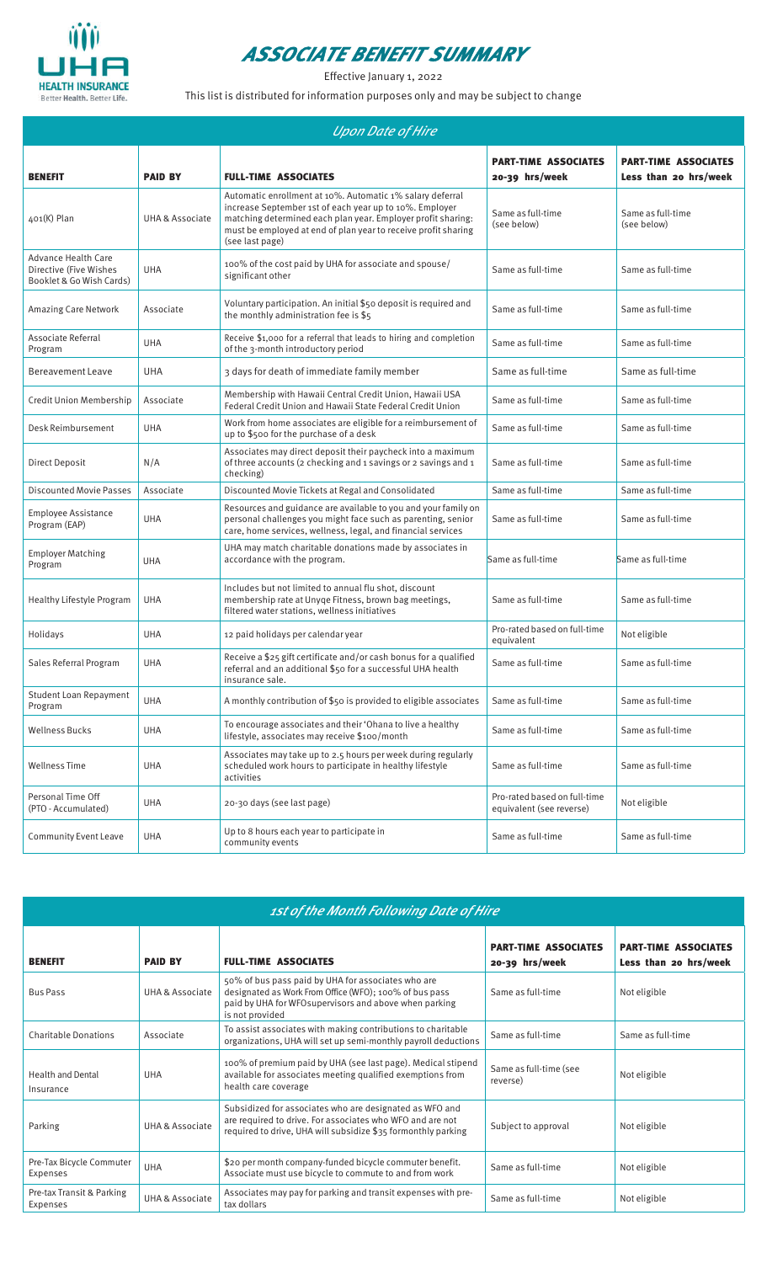

## **ASSOCIATE BENEFIT SUMMARY**

Effective January 1, 2022

This list is distributed for information purposes only and may be subject to change

| <b>Upon Date of Hire</b>                                                         |                 |                                                                                                                                                                                                                                                                           |                                                          |                                                      |  |
|----------------------------------------------------------------------------------|-----------------|---------------------------------------------------------------------------------------------------------------------------------------------------------------------------------------------------------------------------------------------------------------------------|----------------------------------------------------------|------------------------------------------------------|--|
| <b>BENEFIT</b>                                                                   | <b>PAID BY</b>  | <b>FULL-TIME ASSOCIATES</b>                                                                                                                                                                                                                                               | <b>PART-TIME ASSOCIATES</b><br>20-39 hrs/week            | <b>PART-TIME ASSOCIATES</b><br>Less than 20 hrs/week |  |
| $401(K)$ Plan                                                                    | UHA & Associate | Automatic enrollment at 10%. Automatic 1% salary deferral<br>increase September 1st of each year up to 10%. Employer<br>matching determined each plan year. Employer profit sharing:<br>must be employed at end of plan year to receive profit sharing<br>(see last page) | Same as full-time<br>(see below)                         | Same as full-time<br>(see below)                     |  |
| <b>Advance Health Care</b><br>Directive (Five Wishes<br>Booklet & Go Wish Cards) | <b>UHA</b>      | 100% of the cost paid by UHA for associate and spouse/<br>significant other                                                                                                                                                                                               | Same as full-time                                        | Same as full-time                                    |  |
| Amazing Care Network                                                             | Associate       | Voluntary participation. An initial \$50 deposit is required and<br>the monthly administration fee is \$5                                                                                                                                                                 | Same as full-time                                        | Same as full-time                                    |  |
| Associate Referral<br>Program                                                    | <b>UHA</b>      | Receive \$1,000 for a referral that leads to hiring and completion<br>of the 3-month introductory period                                                                                                                                                                  | Same as full-time                                        | Same as full-time                                    |  |
| <b>Bereavement Leave</b>                                                         | <b>UHA</b>      | 3 days for death of immediate family member                                                                                                                                                                                                                               | Same as full-time                                        | Same as full-time                                    |  |
| Credit Union Membership                                                          | Associate       | Membership with Hawaii Central Credit Union, Hawaii USA<br>Federal Credit Union and Hawaii State Federal Credit Union                                                                                                                                                     | Same as full-time                                        | Same as full-time                                    |  |
| Desk Reimbursement                                                               | <b>UHA</b>      | Work from home associates are eligible for a reimbursement of<br>up to \$500 for the purchase of a desk                                                                                                                                                                   | Same as full-time                                        | Same as full-time                                    |  |
| Direct Deposit                                                                   | N/A             | Associates may direct deposit their paycheck into a maximum<br>of three accounts (2 checking and 1 savings or 2 savings and 1<br>checking)                                                                                                                                | Same as full-time                                        | Same as full-time                                    |  |
| <b>Discounted Movie Passes</b>                                                   | Associate       | Discounted Movie Tickets at Regal and Consolidated                                                                                                                                                                                                                        | Same as full-time                                        | Same as full-time                                    |  |
| Employee Assistance<br>Program (EAP)                                             | <b>UHA</b>      | Resources and guidance are available to you and your family on<br>personal challenges you might face such as parenting, senior<br>care, home services, wellness, legal, and financial services                                                                            | Same as full-time                                        | Same as full-time                                    |  |
| <b>Employer Matching</b><br>Program                                              | <b>UHA</b>      | UHA may match charitable donations made by associates in<br>accordance with the program.                                                                                                                                                                                  | Same as full-time                                        | Same as full-time                                    |  |
| Healthy Lifestyle Program                                                        | <b>UHA</b>      | Includes but not limited to annual flu shot, discount<br>membership rate at Unyqe Fitness, brown bag meetings,<br>filtered water stations, wellness initiatives                                                                                                           | Same as full-time                                        | Same as full-time                                    |  |
| Holidays                                                                         | <b>UHA</b>      | 12 paid holidays per calendar year                                                                                                                                                                                                                                        | Pro-rated based on full-time<br>equivalent               | Not eligible                                         |  |
| Sales Referral Program                                                           | <b>UHA</b>      | Receive a \$25 gift certificate and/or cash bonus for a qualified<br>referral and an additional \$50 for a successful UHA health<br>insurance sale.                                                                                                                       | Same as full-time                                        | Same as full-time                                    |  |
| Student Loan Repayment<br>Program                                                | UHA             | A monthly contribution of \$50 is provided to eligible associates                                                                                                                                                                                                         | Same as full-time                                        | Same as full-time                                    |  |
| <b>Wellness Bucks</b>                                                            | <b>UHA</b>      | To encourage associates and their 'Ohana to live a healthy<br>lifestyle, associates may receive \$100/month                                                                                                                                                               | Same as full-time                                        | Same as full-time                                    |  |
| <b>Wellness Time</b>                                                             | <b>UHA</b>      | Associates may take up to 2.5 hours per week during regularly<br>scheduled work hours to participate in healthy lifestyle<br>activities                                                                                                                                   | Same as full-time                                        | Same as full-time                                    |  |
| Personal Time Off<br>(PTO - Accumulated)                                         | <b>UHA</b>      | 20-30 days (see last page)                                                                                                                                                                                                                                                | Pro-rated based on full-time<br>equivalent (see reverse) | Not eligible                                         |  |
| <b>Community Event Leave</b>                                                     | UHA             | Up to 8 hours each year to participate in<br>community events                                                                                                                                                                                                             | Same as full-time                                        | Same as full-time                                    |  |

| 1st of the Month Following Date of Hire      |                            |                                                                                                                                                                                           |                                                 |                                                      |  |
|----------------------------------------------|----------------------------|-------------------------------------------------------------------------------------------------------------------------------------------------------------------------------------------|-------------------------------------------------|------------------------------------------------------|--|
| <b>BENEFIT</b>                               | <b>PAID BY</b>             | <b>FULL-TIME ASSOCIATES</b>                                                                                                                                                               | <b>PART-TIME ASSOCIATES</b><br>$20-39$ hrs/week | <b>PART-TIME ASSOCIATES</b><br>Less than 20 hrs/week |  |
| <b>Bus Pass</b>                              | UHA & Associate            | 50% of bus pass paid by UHA for associates who are<br>designated as Work From Office (WFO); 100% of bus pass<br>paid by UHA for WFO supervisors and above when parking<br>is not provided | Same as full-time                               | Not eligible                                         |  |
| <b>Charitable Donations</b>                  | Associate                  | To assist associates with making contributions to charitable<br>organizations, UHA will set up semi-monthly payroll deductions                                                            | Same as full-time                               | Same as full-time                                    |  |
| <b>Health and Dental</b><br>Insurance        | <b>UHA</b>                 | 100% of premium paid by UHA (see last page). Medical stipend<br>available for associates meeting qualified exemptions from<br>health care coverage                                        | Same as full-time (see<br>reverse)              | Not eligible                                         |  |
| Parking                                      | UHA & Associate            | Subsidized for associates who are designated as WFO and<br>are required to drive. For associates who WFO and are not<br>required to drive, UHA will subsidize \$35 formonthly parking     | Subject to approval                             | Not eligible                                         |  |
| Pre-Tax Bicycle Commuter<br>Expenses         | UHA                        | \$20 per month company-funded bicycle commuter benefit.<br>Associate must use bicycle to commute to and from work                                                                         | Same as full-time                               | Not eligible                                         |  |
| Pre-tax Transit & Parking<br><b>Expenses</b> | <b>UHA &amp; Associate</b> | Associates may pay for parking and transit expenses with pre-<br>tax dollars                                                                                                              | Same as full-time                               | Not eligible                                         |  |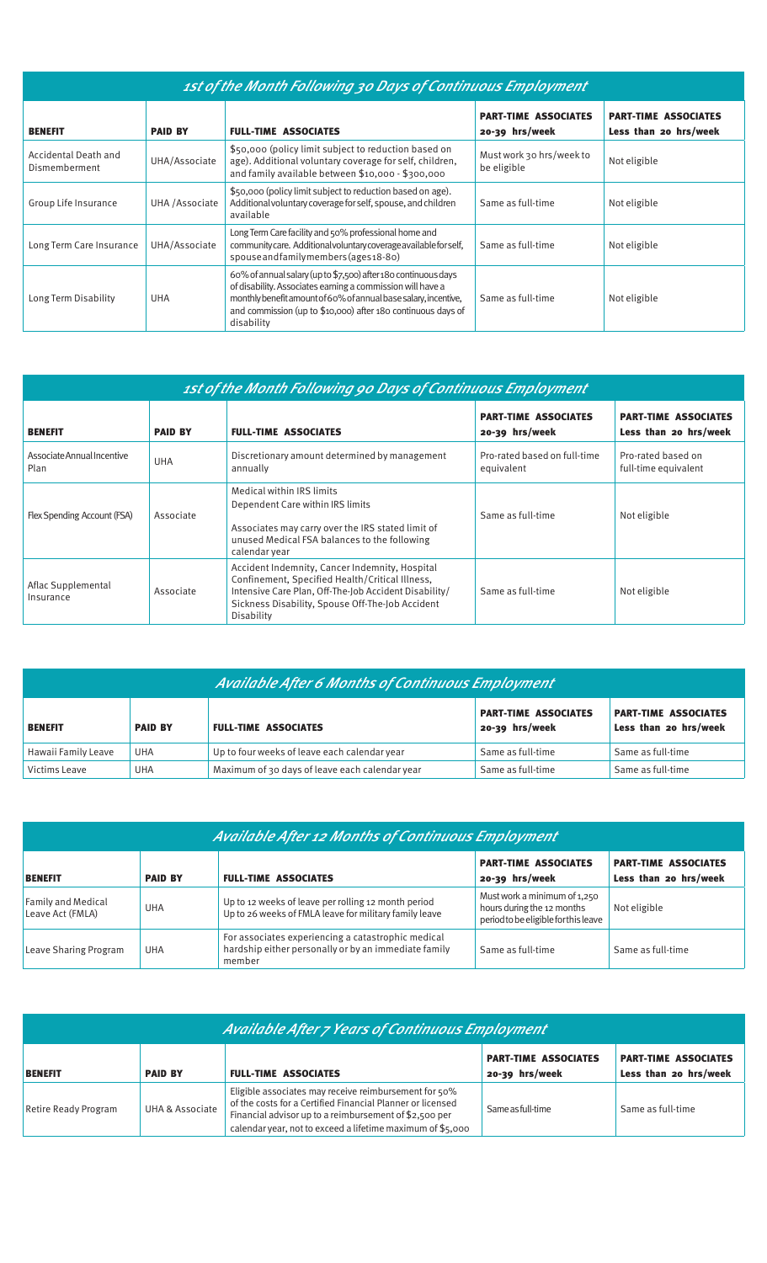| 1st of the Month Following 30 Days of Continuous Employment |                |                                                                                                                                                                                                                                                                               |                                               |                                                      |  |
|-------------------------------------------------------------|----------------|-------------------------------------------------------------------------------------------------------------------------------------------------------------------------------------------------------------------------------------------------------------------------------|-----------------------------------------------|------------------------------------------------------|--|
| <b>BENEFIT</b>                                              | <b>PAID BY</b> | <b>FULL-TIME ASSOCIATES</b>                                                                                                                                                                                                                                                   | <b>PART-TIME ASSOCIATES</b><br>20-39 hrs/week | <b>PART-TIME ASSOCIATES</b><br>Less than 20 hrs/week |  |
| Accidental Death and<br>Dismemberment                       | UHA/Associate  | \$50,000 (policy limit subject to reduction based on<br>age). Additional voluntary coverage for self, children,<br>and family available between \$10,000 - \$300,000                                                                                                          | Must work 30 hrs/week to<br>be eligible       | Not eligible                                         |  |
| Group Life Insurance                                        | UHA /Associate | \$50,000 (policy limit subject to reduction based on age).<br>Additional voluntary coverage for self, spouse, and children<br>available                                                                                                                                       | Same as full-time                             | Not eligible                                         |  |
| Long Term Care Insurance                                    | UHA/Associate  | Long Term Care facility and 50% professional home and<br>community care. Additional voluntary coverage available for self,<br>spouse and family members (ages 18-80)                                                                                                          | Same as full-time                             | Not eligible                                         |  |
| Long Term Disability                                        | <b>UHA</b>     | 60% of annual salary (up to \$7,500) after 180 continuous days<br>of disability. Associates earning a commission will have a<br>monthly benefit amount of 60% of annual base salary, incentive,<br>and commission (up to \$10,000) after 180 continuous days of<br>disability | Same as full-time                             | Not eligible                                         |  |

| 1st of the Month Following 90 Days of Continuous Employment |                |                                                                                                                                                                                                                              |                                               |                                                      |
|-------------------------------------------------------------|----------------|------------------------------------------------------------------------------------------------------------------------------------------------------------------------------------------------------------------------------|-----------------------------------------------|------------------------------------------------------|
| <b>BENEFIT</b>                                              | <b>PAID BY</b> | <b>FULL-TIME ASSOCIATES</b>                                                                                                                                                                                                  | <b>PART-TIME ASSOCIATES</b><br>20-39 hrs/week | <b>PART-TIME ASSOCIATES</b><br>Less than 20 hrs/week |
| Associate Annual Incentive<br>Plan                          | <b>UHA</b>     | Discretionary amount determined by management<br>annually                                                                                                                                                                    | Pro-rated based on full-time<br>equivalent    | Pro-rated based on<br>full-time equivalent           |
| Flex Spending Account (FSA)                                 | Associate      | Medical within IRS limits<br>Dependent Care within IRS limits<br>Associates may carry over the IRS stated limit of<br>unused Medical FSA balances to the following<br>calendar year                                          | Same as full-time                             | Not eligible                                         |
| Aflac Supplemental<br>Insurance                             | Associate      | Accident Indemnity, Cancer Indemnity, Hospital<br>Confinement, Specified Health/Critical Illness,<br>Intensive Care Plan, Off-The-Job Accident Disability/<br>Sickness Disability, Spouse Off-The-Job Accident<br>Disability | Same as full-time                             | Not eligible                                         |

| <b>Available After 6 Months of Continuous Employment</b> |                                               |                                                |                                               |                                                      |  |
|----------------------------------------------------------|-----------------------------------------------|------------------------------------------------|-----------------------------------------------|------------------------------------------------------|--|
| <b>BENEFIT</b>                                           | <b>FULL-TIME ASSOCIATES</b><br><b>PAID BY</b> |                                                | <b>PART-TIME ASSOCIATES</b><br>20-39 hrs/week | <b>PART-TIME ASSOCIATES</b><br>Less than 20 hrs/week |  |
| Hawaii Family Leave                                      | UHA                                           | Up to four weeks of leave each calendar year   | Same as full-time                             | Same as full-time                                    |  |
| Victims Leave                                            | <b>UHA</b>                                    | Maximum of 30 days of leave each calendar year | Same as full-time                             | Same as full-time                                    |  |

| <b>Available After 12 Months of Continuous Employment</b>       |            |                                                                                                                      |                                                                                                       |                   |  |
|-----------------------------------------------------------------|------------|----------------------------------------------------------------------------------------------------------------------|-------------------------------------------------------------------------------------------------------|-------------------|--|
| <b>PAID BY</b><br><b>FULL-TIME ASSOCIATES</b><br><b>BENEFIT</b> |            |                                                                                                                      | <b>PART-TIME ASSOCIATES</b><br><b>PART-TIME ASSOCIATES</b><br>Less than 20 hrs/week<br>20-39 hrs/week |                   |  |
| Family and Medical<br>Leave Act (FMLA)                          | <b>UHA</b> | Up to 12 weeks of leave per rolling 12 month period<br>Up to 26 weeks of FMLA leave for military family leave        | Must work a minimum of 1,250<br>hours during the 12 months<br>period to be eligible for this leave    | Not eligible      |  |
| Leave Sharing Program                                           | <b>UHA</b> | For associates experiencing a catastrophic medical<br>hardship either personally or by an immediate family<br>member | Same as full-time                                                                                     | Same as full-time |  |

| <b>Available After 7 Years of Continuous Employment</b> |                 |                                                                                                                                                                                                                                             |                                                      |                   |
|---------------------------------------------------------|-----------------|---------------------------------------------------------------------------------------------------------------------------------------------------------------------------------------------------------------------------------------------|------------------------------------------------------|-------------------|
| <b>BENEFIT</b>                                          | <b>PAID BY</b>  | <b>PART-TIME ASSOCIATES</b><br>20-39 hrs/week                                                                                                                                                                                               | <b>PART-TIME ASSOCIATES</b><br>Less than 20 hrs/week |                   |
| <b>Retire Ready Program</b>                             | UHA & Associate | Eligible associates may receive reimbursement for 50%<br>of the costs for a Certified Financial Planner or licensed<br>Financial advisor up to a reimbursement of \$2,500 per<br>calendar year, not to exceed a lifetime maximum of \$5,000 | Same as full-time                                    | Same as full-time |